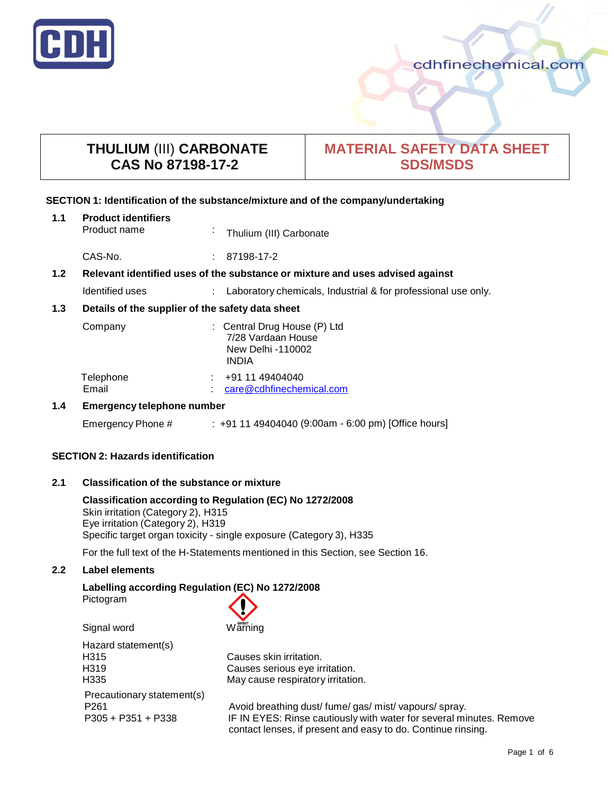

# **THULIUM** (III) **CARBONATE CAS No 87198-17-2**

# **MATERIAL SAFETY DATA SHEET SDS/MSDS**

#### **SECTION 1: Identification of the substance/mixture and of the company/undertaking**

| 1.1              | <b>Product identifiers</b><br>Product name                                    | $\sim$ | Thulium (III) Carbonate                                                                 |
|------------------|-------------------------------------------------------------------------------|--------|-----------------------------------------------------------------------------------------|
|                  | CAS-No.                                                                       |        | $: 87198-17-2$                                                                          |
| 1.2 <sub>2</sub> | Relevant identified uses of the substance or mixture and uses advised against |        |                                                                                         |
|                  | Identified uses                                                               |        | Laboratory chemicals, Industrial & for professional use only.                           |
| 1.3              | Details of the supplier of the safety data sheet                              |        |                                                                                         |
|                  | Company                                                                       |        | : Central Drug House (P) Ltd<br>7/28 Vardaan House<br>New Delhi -110002<br><b>INDIA</b> |
|                  | Telephone<br>Email                                                            |        | +91 11 49404040<br>care@cdhfinechemical.com                                             |
| 1.4              | <b>Emergency telephone number</b>                                             |        |                                                                                         |
|                  | Emergency Phone #                                                             |        | : +91 11 49404040 (9:00am - 6:00 pm) [Office hours]                                     |

## **SECTION 2: Hazards identification**

## **2.1 Classification of the substance or mixture**

**Classification according to Regulation (EC) No 1272/2008** Skin irritation (Category 2), H315 Eye irritation (Category 2), H319 Specific target organ toxicity - single exposure (Category 3), H335

For the full text of the H-Statements mentioned in this Section, see Section 16.

## **2.2 Label elements**

# **Labelling according Regulation (EC) No 1272/2008**

Pictogram



Hazard statement(s) H315 Causes skin irritation. H319 Causes serious eye irritation. Precautionary statement(s)

H335 May cause respiratory irritation.

P261 **Avoid breathing dust/ fume/ gas/ mist/ vapours/ spray.** P305 + P351 + P338 IF IN EYES: Rinse cautiously with water for several minutes. Remove contact lenses, if present and easy to do. Continue rinsing.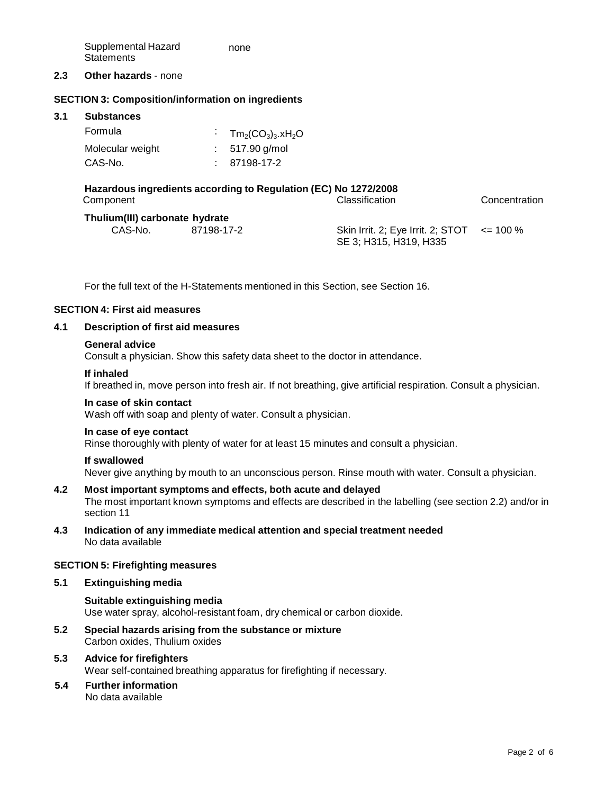Supplemental Hazard **Statements** none

#### **2.3 Other hazards** - none

#### **SECTION 3: Composition/information on ingredients**

#### **3.1 Substances**

| Formula          | $Tm_2(CO_3)_3$ .xH <sub>2</sub> O |
|------------------|-----------------------------------|
| Molecular weight | $: 517.90$ g/mol                  |
| CAS-No.          | 87198-17-2                        |

# **Hazardous ingredients according to Regulation (EC) No 1272/2008**

Classification Concentration

## **Thulium(III) carbonate hydrate**

| $\frac{1}{2}$ |            |                                                                          |  |
|---------------|------------|--------------------------------------------------------------------------|--|
| CAS-No.       | 87198-17-2 | Skin Irrit. 2; Eye Irrit. 2; STOT $\leq$ 100 %<br>SE 3; H315, H319, H335 |  |
|               |            |                                                                          |  |

For the full text of the H-Statements mentioned in this Section, see Section 16.

#### **SECTION 4: First aid measures**

#### **4.1 Description of first aid measures**

#### **General advice**

Consult a physician. Show this safety data sheet to the doctor in attendance.

#### **If inhaled**

If breathed in, move person into fresh air. If not breathing, give artificial respiration. Consult a physician.

#### **In case of skin contact**

Wash off with soap and plenty of water. Consult a physician.

#### **In case of eye contact**

Rinse thoroughly with plenty of water for at least 15 minutes and consult a physician.

#### **If swallowed**

Never give anything by mouth to an unconscious person. Rinse mouth with water. Consult a physician.

#### **4.2 Most important symptoms and effects, both acute and delayed**

The most important known symptoms and effects are described in the labelling (see section 2.2) and/or in section 11

**4.3 Indication of any immediate medical attention and special treatment needed** No data available

#### **SECTION 5: Firefighting measures**

#### **5.1 Extinguishing media**

## **Suitable extinguishing media** Use water spray, alcohol-resistant foam, dry chemical or carbon dioxide.

**5.2 Special hazards arising from the substance or mixture** Carbon oxides, Thulium oxides

## **5.3 Advice for firefighters**

Wear self-contained breathing apparatus for firefighting if necessary.

#### **5.4 Further information**

No data available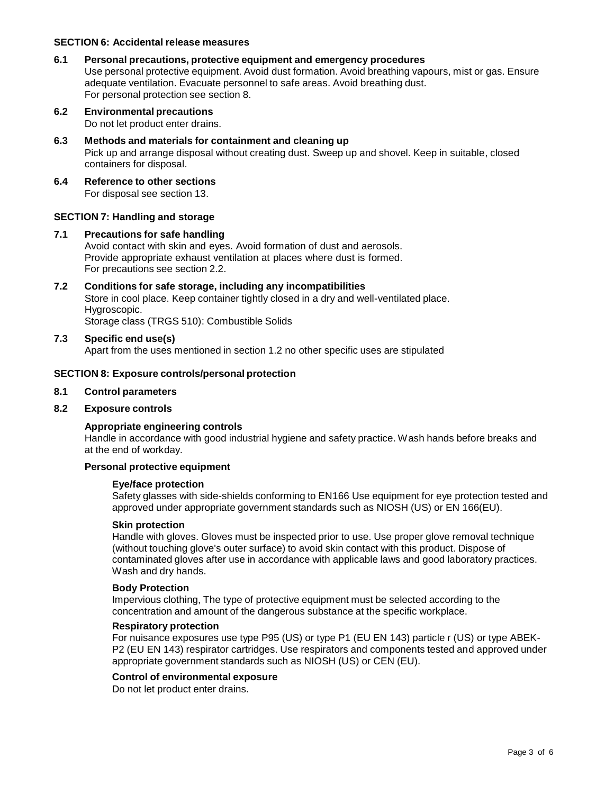#### **SECTION 6: Accidental release measures**

#### **6.1 Personal precautions, protective equipment and emergency procedures**

Use personal protective equipment. Avoid dust formation. Avoid breathing vapours, mist or gas. Ensure adequate ventilation. Evacuate personnel to safe areas. Avoid breathing dust. For personal protection see section 8.

- **6.2 Environmental precautions** Do not let product enter drains.
- **6.3 Methods and materials for containment and cleaning up** Pick up and arrange disposal without creating dust. Sweep up and shovel. Keep in suitable, closed containers for disposal.
- **6.4 Reference to other sections** For disposal see section 13.

#### **SECTION 7: Handling and storage**

#### **7.1 Precautions for safe handling**

Avoid contact with skin and eyes. Avoid formation of dust and aerosols. Provide appropriate exhaust ventilation at places where dust is formed. For precautions see section 2.2.

#### **7.2 Conditions for safe storage, including any incompatibilities** Store in cool place. Keep container tightly closed in a dry and well-ventilated place. Hygroscopic. Storage class (TRGS 510): Combustible Solids

#### **7.3 Specific end use(s)**

Apart from the uses mentioned in section 1.2 no other specific uses are stipulated

#### **SECTION 8: Exposure controls/personal protection**

#### **8.1 Control parameters**

#### **8.2 Exposure controls**

#### **Appropriate engineering controls**

Handle in accordance with good industrial hygiene and safety practice. Wash hands before breaks and at the end of workday.

#### **Personal protective equipment**

#### **Eye/face protection**

Safety glasses with side-shields conforming to EN166 Use equipment for eye protection tested and approved under appropriate government standards such as NIOSH (US) or EN 166(EU).

#### **Skin protection**

Handle with gloves. Gloves must be inspected prior to use. Use proper glove removal technique (without touching glove's outer surface) to avoid skin contact with this product. Dispose of contaminated gloves after use in accordance with applicable laws and good laboratory practices. Wash and dry hands.

#### **Body Protection**

Impervious clothing, The type of protective equipment must be selected according to the concentration and amount of the dangerous substance at the specific workplace.

#### **Respiratory protection**

For nuisance exposures use type P95 (US) or type P1 (EU EN 143) particle r (US) or type ABEK-P2 (EU EN 143) respirator cartridges. Use respirators and components tested and approved under appropriate government standards such as NIOSH (US) or CEN (EU).

#### **Control of environmental exposure**

Do not let product enter drains.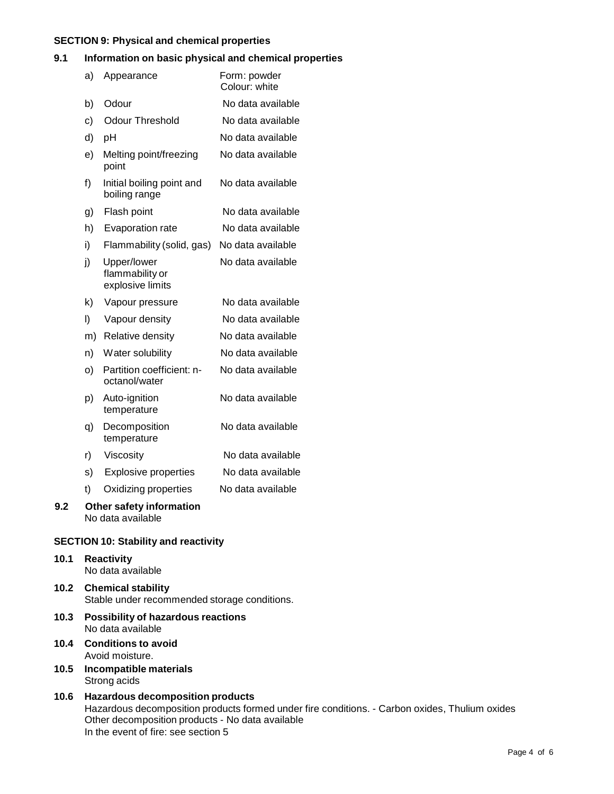#### **SECTION 9: Physical and chemical properties**

#### **9.1 Information on basic physical and chemical properties**

|     | a) | Appearance                                         | Form: powder<br>Colour: white |
|-----|----|----------------------------------------------------|-------------------------------|
|     | b) | Odour                                              | No data available             |
|     | c) | <b>Odour Threshold</b>                             | No data available             |
|     | d) | pH                                                 | No data available             |
|     | e) | Melting point/freezing<br>point                    | No data available             |
|     | f) | Initial boiling point and<br>boiling range         | No data available             |
|     | g) | Flash point                                        | No data available             |
|     | h) | Evaporation rate                                   | No data available             |
|     | i) | Flammability (solid, gas)                          | No data available             |
|     | j) | Upper/lower<br>flammability or<br>explosive limits | No data available             |
|     | k) | Vapour pressure                                    | No data available             |
|     | I) | Vapour density                                     | No data available             |
|     | m) | Relative density                                   | No data available             |
|     | n) | Water solubility                                   | No data available             |
|     | O) | Partition coefficient: n-<br>octanol/water         | No data available             |
|     | p) | Auto-ignition<br>temperature                       | No data available             |
|     | q) | Decomposition<br>temperature                       | No data available             |
|     | r) | Viscosity                                          | No data available             |
|     | s) | <b>Explosive properties</b>                        | No data available             |
|     | t) | Oxidizing properties                               | No data available             |
| 9.2 |    | Other safety information<br>No data available      |                               |

## **SECTION 10: Stability and reactivity**

- **10.1 Reactivity** No data available
- **10.2 Chemical stability** Stable under recommended storage conditions.
- **10.3 Possibility of hazardous reactions** No data available
- **10.4 Conditions to avoid** Avoid moisture.
- **10.5 Incompatible materials** Strong acids
- **10.6 Hazardous decomposition products** Hazardous decomposition products formed under fire conditions. - Carbon oxides, Thulium oxides Other decomposition products - No data available In the event of fire: see section 5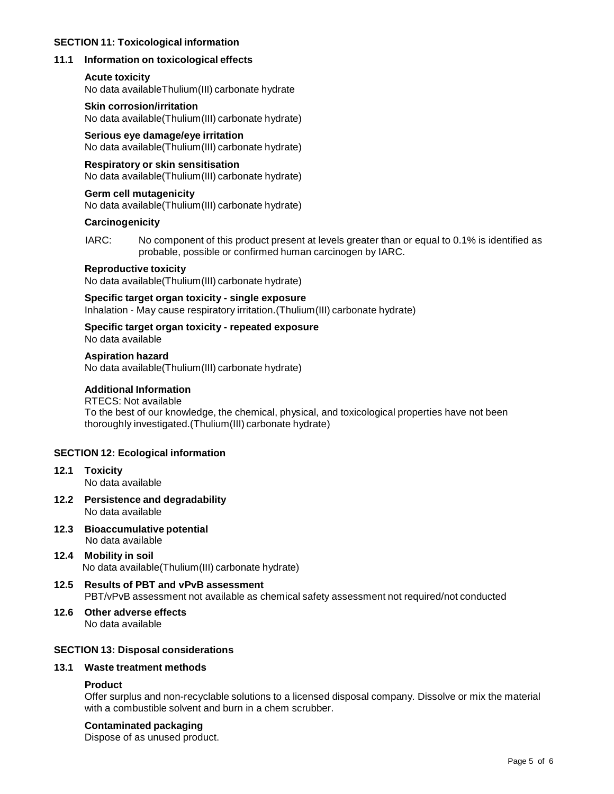#### **SECTION 11: Toxicological information**

## **11.1 Information on toxicological effects**

## **Acute toxicity**

No data availableThulium(III) carbonate hydrate

## **Skin corrosion/irritation**

No data available(Thulium(III) carbonate hydrate)

**Serious eye damage/eye irritation** No data available(Thulium(III) carbonate hydrate)

## **Respiratory or skin sensitisation**

No data available(Thulium(III) carbonate hydrate)

## **Germ cell mutagenicity**

No data available(Thulium(III) carbonate hydrate)

## **Carcinogenicity**

IARC: No component of this product present at levels greater than or equal to 0.1% is identified as probable, possible or confirmed human carcinogen by IARC.

## **Reproductive toxicity**

No data available(Thulium(III) carbonate hydrate)

## **Specific target organ toxicity - single exposure**

Inhalation - May cause respiratory irritation.(Thulium(III) carbonate hydrate)

## **Specific target organ toxicity - repeated exposure**

No data available

## **Aspiration hazard**

No data available(Thulium(III) carbonate hydrate)

## **Additional Information**

#### RTECS: Not available To the best of our knowledge, the chemical, physical, and toxicological properties have not been thoroughly investigated.(Thulium(III) carbonate hydrate)

## **SECTION 12: Ecological information**

- **12.1 Toxicity** No data available
- **12.2 Persistence and degradability** No data available
- **12.3 Bioaccumulative potential** No data available
- **12.4 Mobility in soil** No data available(Thulium(III) carbonate hydrate)
- **12.5 Results of PBT and vPvB assessment** PBT/vPvB assessment not available as chemical safety assessment not required/not conducted
- **12.6 Other adverse effects** No data available

## **SECTION 13: Disposal considerations**

## **13.1 Waste treatment methods**

## **Product**

Offer surplus and non-recyclable solutions to a licensed disposal company. Dissolve or mix the material with a combustible solvent and burn in a chem scrubber.

## **Contaminated packaging**

Dispose of as unused product.